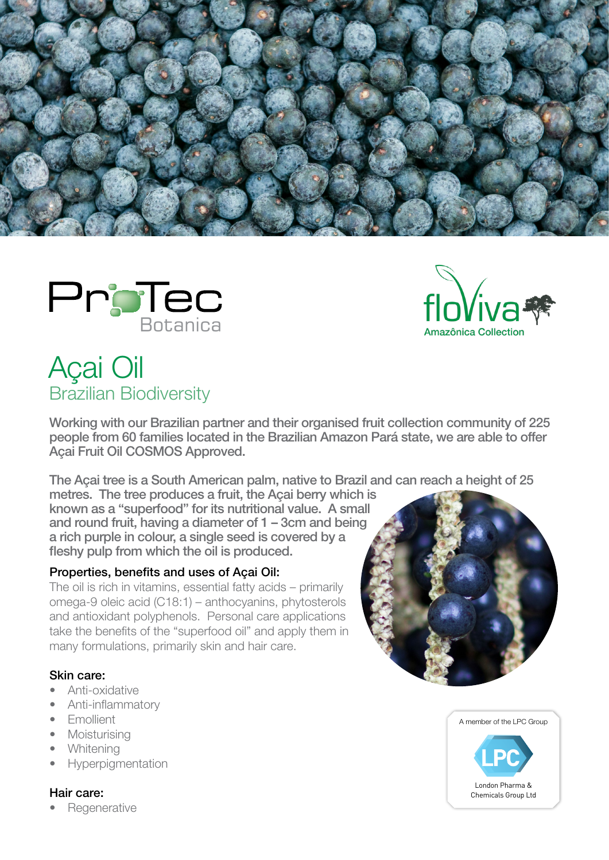





# Açai Oil Brazilian Biodiversity

Working with our Brazilian partner and their organised fruit collection community of 225 people from 60 families located in the Brazilian Amazon Pará state, we are able to offer Açai Fruit Oil COSMOS Approved.

The Açai tree is a South American palm, native to Brazil and can reach a height of 25

metres. The tree produces a fruit, the Açai berry which is known as a "superfood" for its nutritional value. A small and round fruit, having a diameter of 1 – 3cm and being a rich purple in colour, a single seed is covered by a fleshy pulp from which the oil is produced.

# Properties, benefits and uses of Açai Oil:

The oil is rich in vitamins, essential fatty acids – primarily omega-9 oleic acid (C18:1) – anthocyanins, phytosterols and antioxidant polyphenols. Personal care applications take the benefits of the "superfood oil" and apply them in many formulations, primarily skin and hair care.

# Skin care:

- Anti-oxidative
- Anti-inflammatory
- Emollient
- Moisturising
- **Whitening**
- Hyperpigmentation

# Hair care: